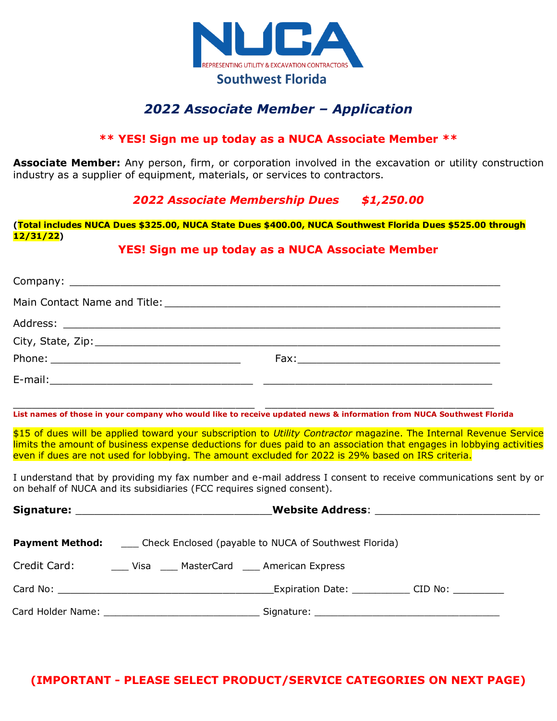

# *2022 Associate Member – Application*

#### **\*\* YES! Sign me up today as a NUCA Associate Member \*\***

**Associate Member:** Any person, firm, or corporation involved in the excavation or utility construction industry as a supplier of equipment, materials, or services to contractors.

### *2022 Associate Membership Dues \$1,250.00*

**(Total includes NUCA Dues \$325.00, NUCA State Dues \$400.00, NUCA Southwest Florida Dues \$525.00 through 12/31/22)** 

#### **YES! Sign me up today as a NUCA Associate Member**

| $City, State, Zip: \n\frac{1}{1}$                                                                                    |                                                                                                                                                                                                                                                   |
|----------------------------------------------------------------------------------------------------------------------|---------------------------------------------------------------------------------------------------------------------------------------------------------------------------------------------------------------------------------------------------|
|                                                                                                                      |                                                                                                                                                                                                                                                   |
|                                                                                                                      |                                                                                                                                                                                                                                                   |
| List names of those in your company who would like to receive updated news & information from NUCA Southwest Florida |                                                                                                                                                                                                                                                   |
| even if dues are not used for lobbying. The amount excluded for 2022 is 29% based on IRS criteria.                   | \$15 of dues will be applied toward your subscription to <i>Utility Contractor</i> magazine. The Internal Revenue Service<br>limits the amount of business expense deductions for dues paid to an association that engages in lobbying activities |

I understand that by providing my fax number and e-mail address I consent to receive communications sent by or on behalf of NUCA and its subsidiaries (FCC requires signed consent).

| Website Address: New York 1997 - Andrew York 1997 - Andrew York 1997 - Andrew York 1997 - Andrew York 1997 - A                                                                                                                 |  |  |  |  |
|--------------------------------------------------------------------------------------------------------------------------------------------------------------------------------------------------------------------------------|--|--|--|--|
| <b>Payment Method:</b> _____ Check Enclosed (payable to NUCA of Southwest Florida)                                                                                                                                             |  |  |  |  |
| Credit Card: _______ Visa _____ MasterCard _____ American Express                                                                                                                                                              |  |  |  |  |
| Expiration Date: CID No:                                                                                                                                                                                                       |  |  |  |  |
| Signature: National Communication of the Communication of the Communication of the Communication of the Communication of the Communication of the Communication of the Communication of the Communication of the Communication |  |  |  |  |

## **(IMPORTANT - PLEASE SELECT PRODUCT/SERVICE CATEGORIES ON NEXT PAGE)**